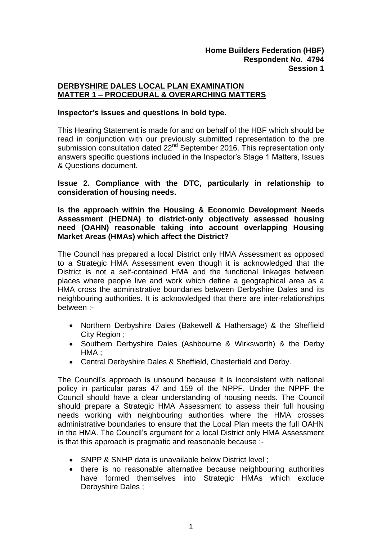## **DERBYSHIRE DALES LOCAL PLAN EXAMINATION MATTER 1 – PROCEDURAL & OVERARCHING MATTERS**

## **Inspector's issues and questions in bold type.**

This Hearing Statement is made for and on behalf of the HBF which should be read in conjunction with our previously submitted representation to the pre submission consultation dated 22<sup>nd</sup> September 2016. This representation only answers specific questions included in the Inspector's Stage 1 Matters, Issues & Questions document.

**Issue 2. Compliance with the DTC, particularly in relationship to consideration of housing needs.**

## **Is the approach within the Housing & Economic Development Needs Assessment (HEDNA) to district-only objectively assessed housing need (OAHN) reasonable taking into account overlapping Housing Market Areas (HMAs) which affect the District?**

The Council has prepared a local District only HMA Assessment as opposed to a Strategic HMA Assessment even though it is acknowledged that the District is not a self-contained HMA and the functional linkages between places where people live and work which define a geographical area as a HMA cross the administrative boundaries between Derbyshire Dales and its neighbouring authorities. It is acknowledged that there are inter-relationships between :-

- Northern Derbyshire Dales (Bakewell & Hathersage) & the Sheffield City Region ;
- Southern Derbyshire Dales (Ashbourne & Wirksworth) & the Derby HMA ;
- Central Derbyshire Dales & Sheffield, Chesterfield and Derby.

The Council's approach is unsound because it is inconsistent with national policy in particular paras 47 and 159 of the NPPF. Under the NPPF the Council should have a clear understanding of housing needs. The Council should prepare a Strategic HMA Assessment to assess their full housing needs working with neighbouring authorities where the HMA crosses administrative boundaries to ensure that the Local Plan meets the full OAHN in the HMA. The Council's argument for a local District only HMA Assessment is that this approach is pragmatic and reasonable because :-

- SNPP & SNHP data is unavailable below District level :
- there is no reasonable alternative because neighbouring authorities have formed themselves into Strategic HMAs which exclude Derbyshire Dales ;